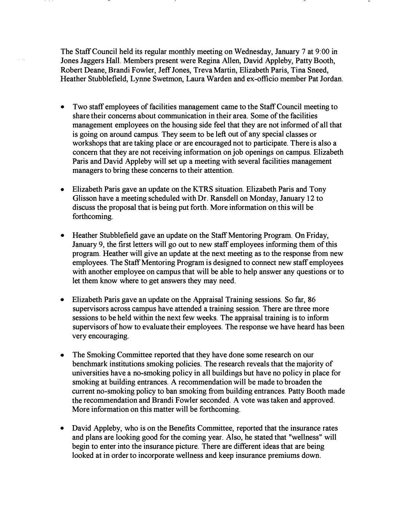The Staff Council held its regular monthly meeting on Wednesday, January 7 at 9:00 in Jones Jaggers Hall. Members present were Regina Allen, David Appleby, Patty Booth, Robert Deane, Brandi Fowler, Jeff Jones, Treva Martin, Elizabeth Paris, Tina Sneed, Heather Stubblefield, Lynne Swetmon, Laura Warden and ex-officio member Pat Jordan.

- Two staff employees of facilities management came to the Staff Council meeting to share their concerns about communication in their area. Some of the facilities management employees on the housing side feel that they are not informed of all that is going on around campus. They seem to be left out of any special classes or workshops that are taking place or are encouraged not to participate. There is also a concern that they are not receiving information on job openings on campus. Elizabeth Paris and David Appleby will set up a meeting with several facilities management managers to bring these concerns to their attention.
- Elizabeth Paris gave an update on the KTRS situation. Elizabeth Paris and Tony Glisson have a meeting scheduled with Dr. Ransdell on Monday, January 12 to discuss the proposal that is being put forth. More information on this will be forthcoming.
- Heather Stubblefield gave an update on the StaffMentoring Program. On Friday, January 9, the first letters will go out to new staff employees informing them of this program. Heather will give an update at the next meeting as to the response from new employees. The Staff Mentoring Program is designed to connect new staff employees with another employee on campus that will be able to help answer any questions or to let them know where to get answers they may need.
- Elizabeth Paris gave an update on the Appraisal Training sessions. So far, 86 supervisors across campus have attended a training session. There are three more sessions to be held within the next few weeks. The appraisal training is to inform supervisors of how to evaluate their employees. The response we have heard has been very encouraging.
- The Smoking Committee reported that they have done some research on our benchmark institutions smoking policies. The research reveals that the majority of universities have a no-smoking policy in all buildings but have no policy in place for smoking at building entrances. A recommendation will be made to broaden the current no-smoking policy to ban smoking from building entrances. Patty Booth made the recommendation and Brandi Fowler seconded. A vote was taken and approved. More information on this matter will be forthcoming.
- David Appleby, who is on the Benefits Committee, reported that the insurance rates and plans are looking good for the coming year. Also, he stated that "wellness" will begin to enter into the insurance picture. There are different ideas that are being looked at in order to incorporate wellness and keep insurance premiums down.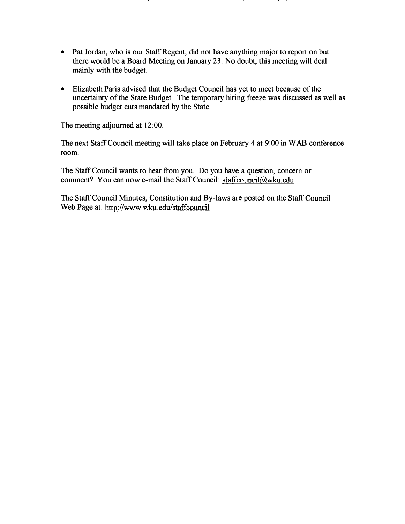- Pat Jordan, who is our Staff Regent, did not have anything major to report on but there would be a Board Meeting on January 23. No doubt, this meeting will deal mainly with the budget.
- Elizabeth Paris advised that the Budget Council has yet to meet because of the uncertainty of the State Budget. The temporary hiring freeze was discussed as well as possible budget cuts mandated by the State.

The meeting adjourned at 12:00.

The next Staff Council meeting will take place on February 4 at 9:00 in W AB conference room.

The Staff Council wants to hear from you. Do you have a question, concern or comment? You can now e-mail the Staff Council: staffcouncil@wku.edu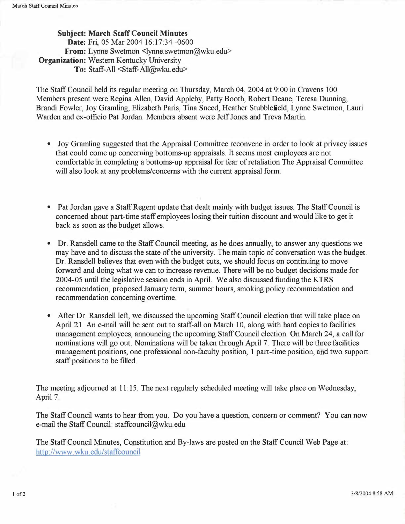Subject: March Staff Council Minutes Date: Fri, 05 Mar 2004 16:17:34-0600 From: Lynne Swetmon <lynne.swetmon@wku.edu> **Organization:** Western Kentucky University To: Staff-All <Staff-All@wku.edu>

The Staff Council held its regular meeting on Thursday, March 04, 2004 at 9:00 in Cravens 100. Members present were Regina Allen, David Appleby, Patty Booth, Robert Deane, Teresa Dunning, Brandi Fowler, Joy Gramling, Elizabeth Paris, Tina Sneed, Heather Stubblefield, Lynne Swetmon, Lauri Warden and ex-officio Pat Jordan. Members absent were Jeff Jones and Treva Martin.

- Joy Gramling suggested that the Appraisal Committee reconvene in order to look at privacy issues that could come up concerning bottoms-up appraisals. It seems most employees are not comfortable in completing a bottoms-up appraisal for fear of retaliation The Appraisal Committee will also look at any problems/concerns with the current appraisal form.
- Pat Jordan gave a Staff Regent update that dealt mainly with budget issues. The Staff Council is concerned about part-time staff employees losing their tuition discount and would like to get it back as soon as the budget allows.
- Dr. Ransdell came to the Staff Council meeting, as he does annually, to answer any questions we may have and to discuss the state of the university. The main topic of conversation was the budget. Dr. Ransdell believes that even with the budget cuts, we should focus on continuing to move forward and doing what we can to increase revenue. There will be no budget decisions made for 2004-05 until the legislative session ends in April. We also discussed funding the KTRS recommendation, proposed January term, summer hours, smoking policy recommendation and recommendation concerning overtime.
- After Dr. Ransdell left, we discussed the upcoming Staff Council election that will take place on April 21. An e-mail will be sent out to staff-all on March 10, along with hard copies to facilities management employees, announcing the upcoming Staff Council election. On March 24, a call for nominations will go out. Nominations will be taken through April 7. There will be three facilities management positions, one professional non-faculty position, 1 part-time position, ahd two support staff positions to be filled.

The meeting adjourned at 11:15. The next regularly scheduled meeting will take place on Wednesday, April?.

The Staff Council wants to hear from you. Do you have a question, concern or comment? You can now e-mail the Staff Council: staffcouncil@wku.edu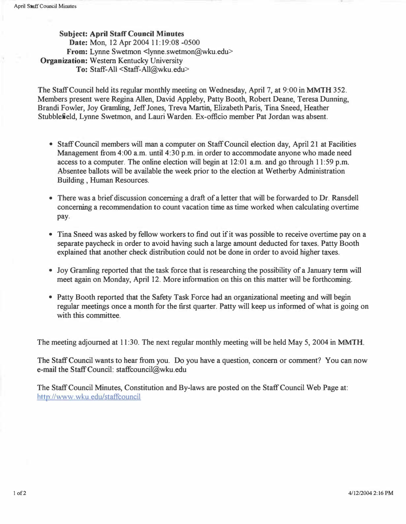Subject: April Staff Council Minutes Date: Mon, 12 Apr 2004 11:19:08 -0500 From: Lynne Swetmon <lynne.swetmon@wku.edu> Organization: Western Kentucky University To: Staff-All <Staff-All@wku.edu>

The Staff Council held its regular monthly meeting on Wednesday, April 7, at 9:00 in MMTH 352. Members present were Regina Allen, David Appleby, Patty Booth, Robert Deane, Teresa Dunning, Brandi Fowler, Joy Gramling, Jeff Jones, Treva Martin, Elizabeth Paris, Tina Sneed, Heather Stubblefield, Lynne Swetmon, and Lauri Warden. Ex-officio member Pat Jordan was absent.

- Staff Council members will man a computer on Staff Council election day, April 21 at Facilities Management from 4:00 a.m. until 4:30 p.m. in order to accommodate anyone who made need access to a computer. The online election will begin at 12:01 a.m. and go through 1 1:59 p.m. Absentee ballots will be available the week prior to the election at Wetherby Administration Building , Human Resources.
- There was a brief discussion concerning a draft of a letter that will be forwarded to Dr. Ransdell concerning a recommendation to count vacation time as time worked when calculating overtime pay.
- Tina Sneed was asked by fellow workers to find out if it was possible to receive overtime pay on a separate paycheck in order to avoid having such a large amount deducted for taxes. Patty Booth explained that another check distribution could not be done in order to avoid higher taxes.
- Joy Gramling reported that the task force that is researching the possibility of a January term will meet again on Monday, April 12. More information on this on this matter will be forthcoming.
- Patty Booth reported that the Safety Task Force had an organizational meeting and will begin regular meetings once a month for the first quarter. Patty will keep us informed of what is going on with this committee.

The meeting adjourned at 11:30. The next regular monthly meeting will be held May 5, 2004 in MMTH.

The Staff Council wants to hear from you. Do you have a question, concern or comment? You can now e-mail the Staff Council: staffcouncil@wku.edu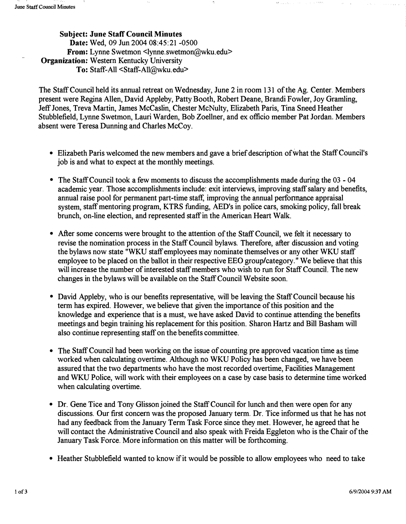Subject: June Staff Council Minutes Date: Wed, 09 Jun 2004 08:45:21 -0500 From: Lynne Swetmon <lynne.swetmon@wku.edu> Organization: Western Kentucky University To: Staff-All <Staff-AII@wku.edu>

The Staff Council held its annual retreat on Wednesday, June 2 in room 131 of the Ag. Center. Members present were Regina Allen, David Appleby, Patty Booth, Robert Deane, Brandi Fowler, Joy Gramling, Jeff Jones, Treva Martin, James McCaslin, Chester McNulty, Elizabeth Paris, Tina Sneed Heather Stubblefield, Lynne Swetmon, Lauri Warden, Bob Zoellner, and ex officio member Pat Jordan. Members absent were Teresa Dunning and Charles McCoy.

- Elizabeth Paris welcomed the new members and gave a brief description of what the Staff Council's job is and what to expect at the monthly meetings.
- The Staff Council took a few moments to discuss the accomplishments made during the 03 04 academic year. Those accomplishments include: exit interviews, improving staff salary and benefits, annual raise pool for permanent part-time staff, improving the annual performance appraisal system, staff mentoring program, KTRS funding, AED's in police cars, smoking policy, fall break brunch, on-line election, and represented staff in the American Heart Walk.
- After some concerns were brought to the attention of the Staff Council, we felt it necessary to revise the nomination process in the Staff Council bylaws. Therefore, after discussion and voting the bylaws now state "WKU staff employees may nominate themselves or any other WKU staff employee to be placed on the ballot in their respective EEO group/category." We believe that this will increase the number of interested staff members who wish to run for Staff Council. The new changes in the bylaws will be available on the Staff Council Website soon.
- David Appleby, who is our benefits representative, will be leaving the Staff Council because his term has expired. However, we believe that given the importance of this position and the knowledge and experience that is a must, we have asked David to continue attending the benefits meetings and begin training his replacement for this position. Sharon Hartz and Bill Basham will also continue representing staff on the benefits committee.
- The Staff Council had been working on the issue of counting pre approved vacation time as time worked when calculating overtime. Although no WKU Policy has been changed, we have been assured that the two departments who have the most recorded overtime, Facilities Management and WKU Police, will work with their employees on a case by case basis to determine time worked when calculating overtime.
- Dr. Gene Tice and Tony Glisson joined the Staff Council for lunch and then were open for any discussions. Our first concern was the proposed January term. Dr. Tice informed us that he has not had any feedback from the January Term Task Force since they met. However, he agreed that he will contact the Administrative Council and also speak with Freida Eggleton who is the Chair of the January Task Force. More information on this matter will be forthcoming.
- Heather Stubblefield wanted to know if it would be possible to allow employees who need to take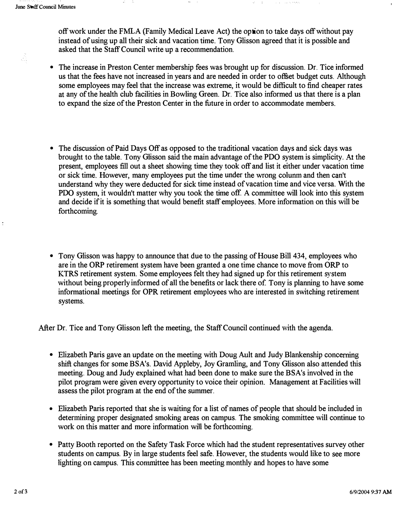off work under the FMLA (Family Medical Leave Act) the option to take days off without pay instead of using up all their sick and vacation time. Tony Glisson agreed that it is possible and asked that the Staff Council write up a recommendation.

- The increase in Preston Center membership fees was brought up for discussion. Dr. Tice informed us that the fees have not increased in years and are needed in order to offset budget cuts. Although some employees may feel that the increase was extreme, it would be difficult to find cheaper rates at any of the health club facilities in Bowling Green. Dr. Tice also informed us that there is a plan to expand the size of the Preston Center in the future in order to accommodate members.
- The discussion of Paid Days Off as opposed to the traditional vacation days and sick days was brought to the table. Tony Glisson said the main advantage of the PDQ system is simplicity. At the present, employees fill out a sheet showing time they took off and list it either under vacation time or sick time. However, many employees put the time under the wrong colunm and then can't understand why they were deducted for sick time instead of vacation time and vice versa. With the PDQ system, it wouldn't matter why you took the time off. A committee will look into this system and decide if it is something that would benefit staff employees. More information on this will be forthcoming.
- Tony Glisson was happy to announce that due to the passing of House Bill 434, employees who are in the ORP retirement system have been granted a one time chance to move from ORP to KTRS retirement system. Some employees felt they had signed up for this retirement system without being properly informed of all the benefits or lack there of. Tony is planning to have some informational meetings for OPR retirement employees who are interested in switching retirement systems.

After Dr. Tice and Tony Glisson left the meeting, the Staff Council continued with the agenda.

- Elizabeth Paris gave an update on the meeting with Doug Ault and Judy Blankenship concerning shift changes for some BSA's. David Appleby, Joy Gramling, and Tony Glisson also attended this meeting. Doug and Judy explained what had been done to make sure the BSA's involved in the pilot program were given every opportunity to voice their opinion. Management at Facilities will assess the pilot program at the end of the summer.
- Elizabeth Paris reported that she is waiting for a list of names of people that should be included in determining proper designated smoking areas on campus. The smoking committee will continue to work on this matter and more information will be forthcoming.
- Patty Booth reported on the Safety Task Force which had the student representatives survey other students on campus. By in large students feel safe. However, the students would like to see more lighting on campus. This committee has been meeting monthly and hopes to have some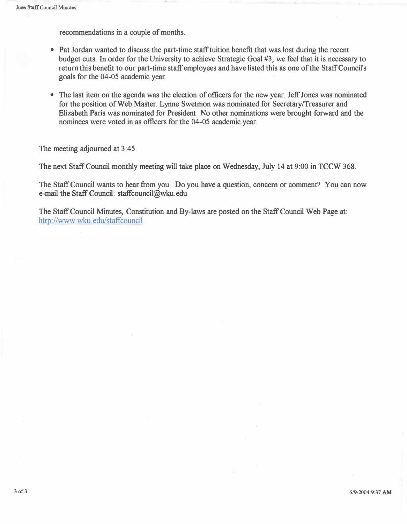recommendations in a couple of months.

- Pat Jordan wanted to discuss the part-time staff tuition benefit that was lost during the recent budget cuts. In order for the University to achieve Strategic Goal #3, we feel that it is necessary to return this benefit to our part-time staff employees and have listed this as one of the Staff Council's goals for the 04-05 academic year.
- The last item on the agenda was the election of officers for the new year. Jeff Jones was nominated for the position of Web Master. Lynne Swetmon was nominated for Secretary/Treasurer and Elizabeth Paris was nominated for President. No other nominations were brought forward and the nominees were voted in as officers for the 04-05 academic year.

The meeting adjourned at 3:45.

The next Staff Council monthly meeting will take place on Wednesday, July 14 at 9:00 in TCCW 368.

The Staff Council wants to hear from you. Do you have a question, concern or comment? You can now e-mail the Staff Council: staffcouncil@wku. edu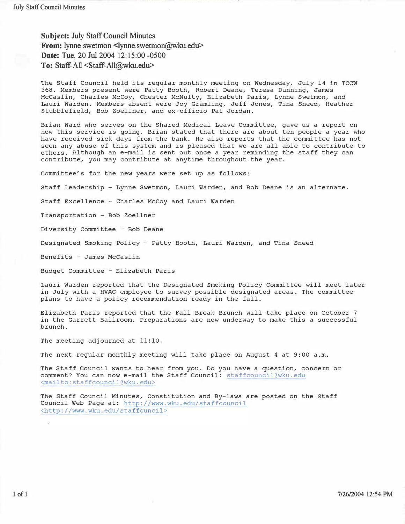Subject: July Staff Council Minutes From: lynne swetmon <lynne.swetmon@wku.edu> Date: Tue, 20 Jul 2004 12:15:00 -0500 To: Staff-All <Staff-All@wku.edu>

The Staff Council held its regular monthly meeting on Wednesday, July 14 in TCCW 368. Members present were Patty Booth, Robert Deane, Teresa Dunning, James McCaslin, Charles McCoy, Chester McNulty, Elizabeth Paris, Lynne Swetmon, and Lauri Warden. Members absent were Joy Gramling, Jeff Jones, Tina Sneed, Heather stubblefi�ld, Bob Zoellner, and ex-officio Pat Jordan.

Brian Ward who serves on the Shared Medical Leave Committee, gave us a report on how this service is going. Brian stated that there are about ten people a year who have received sick days from the bank. He also reports that the committee has not seen any abuse of this system and is pleased that we are all able to contribute to others. Although an e-mail is sent out once a year reminding the staff they can contribute, you may contribute at anytime throughout the year.

Committee's for the new years were set up as follows:

staff Leadership Lynne Swetmon, Lauri Warden, and Bob Deane is an alternate.

Staff Excellence - Charles McCoy and Lauri Warden

Transportation - Bob Zoellner

Diversity Committee - Bob Deane

Designated Smoking Policy - Patty Booth, Lauri Warden, and Tina Sneed

Benefits - James McCaslin

Budget Committee - Elizabeth Paris

Lauri Warden reported that the Designated smoking Policy Committee will meet later in July with a HVAC employee to survey possible designated areas. The committee plans to have a policy recommendation ready in the fall.

Elizabeth Paris reported that the Fall Break Brunch will take place on October 7 in the Garrett Ballroom. Preparations are now underway to make this a successful brunch.

The meeting adjourned at 11:10.

The next regular monthly meeting will take place on August 4 at 9:00 a. m.

The Staff Council wants to hear from you. Do you have a question, concern or comment? You can now e-mail the Staff Council: staffcouncil@wku.edu <mailto:staffcouncil@wku.edu>

The Staff council Minutes, constitution and By-laws are posted on the staff Council Web Page at: http://www.wku.edu/staffcouncil <http://www. wku. edu/staffouncil>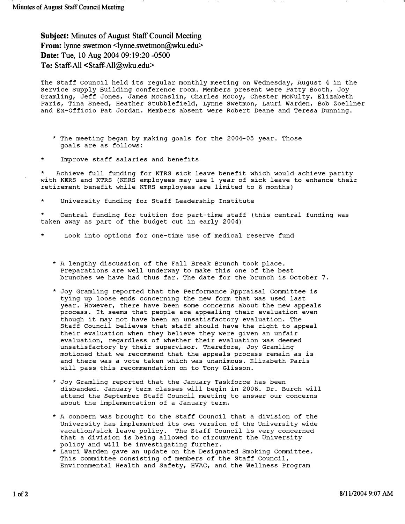Subject: Minutes of August Staff Council Meeting From: lynne swetmon <lynne.swetmon@wku.edu> Date: Tue, 10 Aug 2004 09:19:20 -0500 To: Staff-All <Staff-All@wku.edu>

The Staff Council held its regular monthly meeting on Wednesday, August 4 in the Service Supply Building conference room. Members present were Patty Booth, Joy Gramling, Jeff Jones, James McCaslin, Charles McCoy, Chester McNulty, Elizabeth Paris, Tina Sneed, Heather Stubblefield, Lynne swetmon, Lauri Warden, Bob Zoellner and Ex-Officio Pat Jordan. Members absent were Robert Deane and Teresa Dunning.

- \* The meeting began by making goals for the 2004-05 year. Those goals are as follows:
- \* Improve staff salaries and benefits

Achieve full funding for KTRS sick leave benefit which would achieve parity with KERS and KTRS (KERS employees may use 1 year of sick leave to enhance their retirement benefit while KTRS employees are limited to 6 months)

University funding for Staff Leadership Institute

Central funding for tuition for part-time staff (this central funding was taken away as part of the budget cut in early 2004)

- Look into options for one-time use of medical reserve fund
	- \* A lengthy discussion of the Fall Break Brunch took place. Preparations are well underway to make this one of the best brunches we have had thus far. The date for the brunch is October 7.
	- \* Joy Gramling reported that the Performance Appraisal Committee is tying up loose ends concerning the new form that was used last year. However, there have been some concerns about the new appeals process. It seems that people are appealing their evaluation even though it may not have been an unsatisfactory evaluation. The Staff Council believes that staff should have the right to appeal their evaluation when they believe they were given an unfair evaluation, regardless of whether their evaluation was deemed unsatisfactory by their supervisor. Therefore, Joy Gramling motioned that we recommend that the appeals process remain as is and there was a vote taken which was unanimous. Elizabeth Paris will pass this recommendation on to Tony Glisson.
	- \* Joy Gramling reported that the January Taskforce has been disbanded. January term classes will begin in 2006. Dr. Burch will attend the September Staff Council meeting to answer our concerns about the implementation of a January term.
	- \* A concern was brought to the Staff Council that a division of the University has implemented its own version of the University wide vacation/sick leave policy. The Staff Council is very concerned that a division is being allowed to circumvent the University policy and will be investigating further.
	- \* Lauri warden gave an update on the Designated Smoking committee. This committee consisting of members of the staff Council, Environmental Health and Safety, HVAC, and the Wellness Program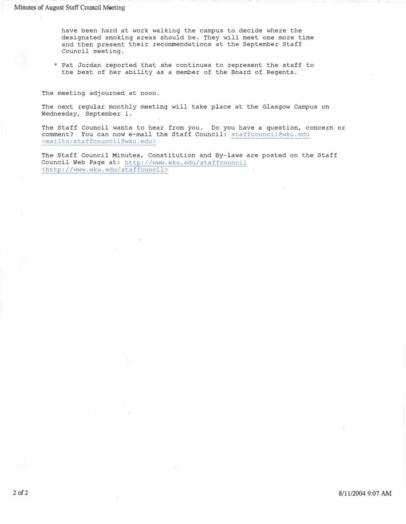have been hard at work walking the campus to decide where the designated smoking areas should be. They will meet one more time and then present their recommendations at the September Staff Council meeting.

\* Pat Jordan reported that she continues to represent the staff to the best of her ability as a member of the Board of Regents.

The meeting adjourned at noon.

The next regular monthly meeting will take place at the Glasgow Campus on Wednesday, September 1.

The Staff Council wants to hear from you. Do you have a question, concern or comment? You can now e-mail the Staff Council: staffcouncil@wku.edu <mailto:staffcouncil@wku.edu>

The staff council Minutes, Constitution and By-laws are posted on the Staff Council Web Page at: http://www.wku.edu/staffcouncil <http://www.wku. edu/staffouncil>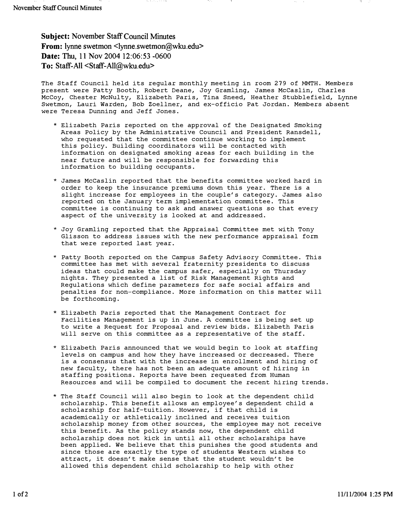Subject: November Staff Council Minutes From: lynne swetmon <lynne.swetmon@wku.edu> Date: Thu, 11 Nov 2004 12:06:53 -0600 To: Staff-All <Staff-All@wku.edu>

The Staff Council held its regular monthly meeting in room 279 of MMTH. Members present were Patty Booth, Robert Deane, Joy Gramling, James McCaslin, Charles McCoy, Chester McNulty, Elizabeth Paris, Tina Sneed, Heather Stubblefield, Lynne Swetmon, Lauri Warden, Bob Zoellner, and ex-officio Pat Jordan. Members absent were Teresa Dunning and Jeff Jones.

- \* Elizabeth Paris reported on the approval of the Designated Smoking Areas Policy by the Administrative Council and President Ransdell, who requested that the committee continue working to implement this policy. Building coordinators will be contacted with information on designated smoking areas for each building in the near future and will be responsible for forwarding this information to building occupants.
- \* James McCaslin reported that the benefits committee worked hard in order to keep the insurance premiums down this year. There is a slight increase for employees in the couple's category. James also reported on the January term implementation committee. This committee is continuing to ask and answer questions so that every aspect of the university is looked at and addressed.
- \* Joy Gramling reported that the Appraisal Committee met with Tony Glisson to address issues with the new performance appraisal form that were reported last year.
- \* Patty Booth reported on the Campus Safety Advisory Committee. This committee has met with several fraternity presidents to discuss ideas that could make the campus safer, especially on Thursday nights. They presented a list of Risk Management Rights and Regulations which define parameters for safe social affairs and penalties for non-compliance. More information on this matter will be forthcoming.
- \* Elizabeth Paris reported that the Management Contract for Facilities Management is up in June. A committee is being set up to write a Request for Proposal and review bids. Elizabeth Paris will serve on this committee as a representative of the staff.
- \* Elizabeth Paris announced that we would begin to look at staffing levels on campus and how they have increased or decreased. There is a consensus that with the increase in enrollment and hiring of new faculty, there has not been an adequate amount of hiring in staffing positions. Reports have been requested from Human Resources and will be compiled to document the recent hiring trends.
- \* The Staff Council will also begin to look at the dependent child scholarship. This benefit allows an employee's dependent child a scholarship for half-tuition. However, if that child is academically or athletically inclined and receives tuition scholarship money from other sources, the employee may not receive this benefit. As the policy stands now, the dependent child scholarship does not kick in until all other scholarships have been applied. We believe that this punishes the good students and since those are exactly the type of students Western wishes to attract, it doesn't make sense that the student wouldn't be allowed this dependent child scholarship to help with other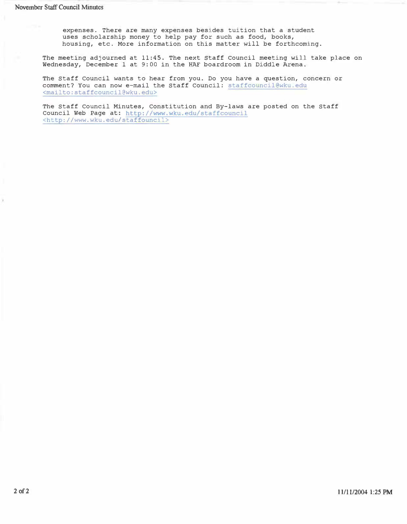expenses. There are many expenses besides tuition that a student uses scholarship money to help pay for such as food, books, housing, etc. More information on this matter will be forthcoming.

The meeting adjourned at 11:45. The next Staff Council meeting will take place on Wednesday, December 1 at 9:00 in the HAF boardroom in Diddle Arena.

The Staff Council wants to hear from you. Do you have a question, concern or comment? You can now e-mail the Staff Council: staffcouncil@wku.edu <mailto:staffcouncil@wku.edu>

The Staff Council Minutes, Constitution and By-laws are posted on the Staff Council Web Page at: http://www.wku.edu/staffcouncil <http://www.wku.edu/staffouncil>